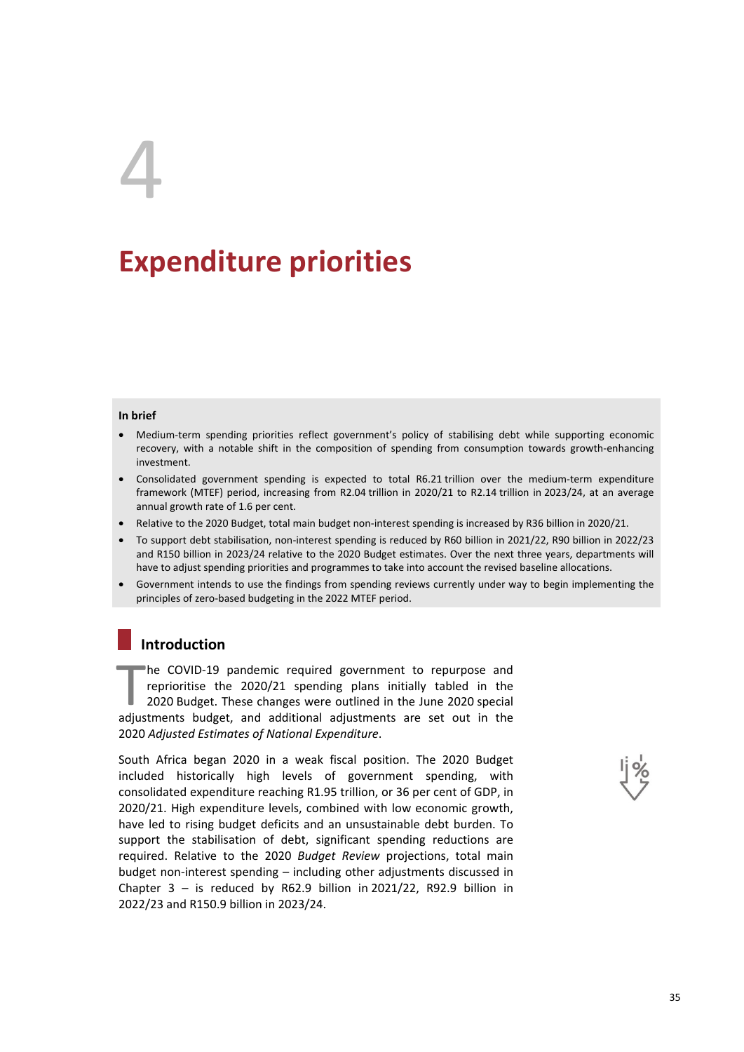# 4

# **Expenditure priorities**

#### **In brief**

- Medium-term spending priorities reflect government's policy of stabilising debt while supporting economic recovery, with a notable shift in the composition of spending from consumption towards growth-enhancing investment.
- Consolidated government spending is expected to total R6.21 trillion over the medium-term expenditure framework (MTEF) period, increasing from R2.04 trillion in 2020/21 to R2.14 trillion in 2023/24, at an average annual growth rate of 1.6 per cent.
- Relative to the 2020 Budget, total main budget non-interest spending is increased by R36 billion in 2020/21.
- To support debt stabilisation, non-interest spending is reduced by R60 billion in 2021/22, R90 billion in 2022/23 and R150 billion in 2023/24 relative to the 2020 Budget estimates. Over the next three years, departments will have to adjust spending priorities and programmes to take into account the revised baseline allocations.
- Government intends to use the findings from spending reviews currently under way to begin implementing the principles of zero-based budgeting in the 2022 MTEF period.

# **Introduction**

he COVID-19 pandemic required government to repurpose and reprioritise the 2020/21 spending plans initially tabled in the 2020 Budget. These changes were outlined in the June 2020 special he COVID-19 pandemic required government to repurpose and reprioritise the 2020/21 spending plans initially tabled in the 2020 Budget. These changes were outlined in the June 2020 special adjustments budget, and additional 2020 *Adjusted Estimates of National Expenditure*.

South Africa began 2020 in a weak fiscal position. The 2020 Budget included historically high levels of government spending, with consolidated expenditure reaching R1.95 trillion, or 36 per cent of GDP, in 2020/21. High expenditure levels, combined with low economic growth, have led to rising budget deficits and an unsustainable debt burden. To support the stabilisation of debt, significant spending reductions are required. Relative to the 2020 *Budget Review* projections, total main budget non-interest spending – including other adjustments discussed in Chapter  $3 -$  is reduced by R62.9 billion in 2021/22, R92.9 billion in 2022/23 and R150.9 billion in 2023/24.

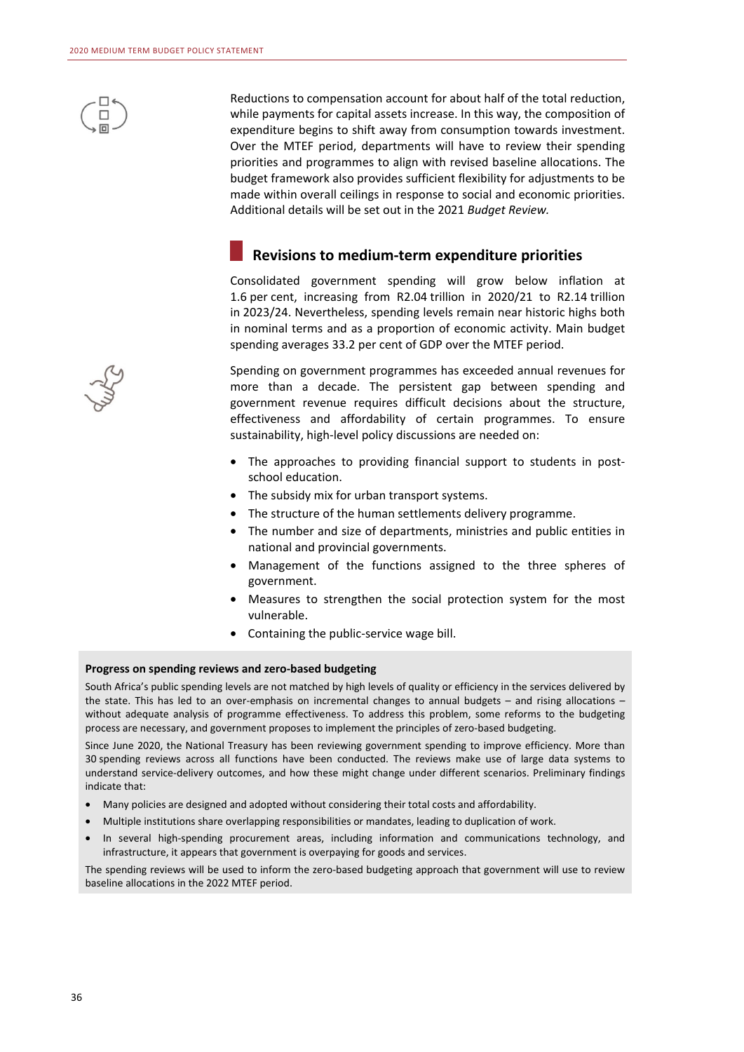

Reductions to compensation account for about half of the total reduction, while payments for capital assets increase. In this way, the composition of expenditure begins to shift away from consumption towards investment. Over the MTEF period, departments will have to review their spending priorities and programmes to align with revised baseline allocations. The budget framework also provides sufficient flexibility for adjustments to be made within overall ceilings in response to social and economic priorities. Additional details will be set out in the 2021 *Budget Review.* 

#### **Revisions to medium-term expenditure priorities**

Consolidated government spending will grow below inflation at 1.6 per cent, increasing from R2.04 trillion in 2020/21 to R2.14 trillion in 2023/24. Nevertheless, spending levels remain near historic highs both in nominal terms and as a proportion of economic activity. Main budget spending averages 33.2 per cent of GDP over the MTEF period.

Spending on government programmes has exceeded annual revenues for more than a decade. The persistent gap between spending and government revenue requires difficult decisions about the structure, effectiveness and affordability of certain programmes. To ensure sustainability, high-level policy discussions are needed on:

- The approaches to providing financial support to students in postschool education.
- The subsidy mix for urban transport systems.
- The structure of the human settlements delivery programme.
- The number and size of departments, ministries and public entities in national and provincial governments.
- Management of the functions assigned to the three spheres of government.
- Measures to strengthen the social protection system for the most vulnerable.
- Containing the public-service wage bill.

#### **Progress on spending reviews and zero-based budgeting**

South Africa's public spending levels are not matched by high levels of quality or efficiency in the services delivered by the state. This has led to an over-emphasis on incremental changes to annual budgets – and rising allocations – without adequate analysis of programme effectiveness. To address this problem, some reforms to the budgeting process are necessary, and government proposes to implement the principles of zero-based budgeting.

Since June 2020, the National Treasury has been reviewing government spending to improve efficiency. More than 30 spending reviews across all functions have been conducted. The reviews make use of large data systems to understand service-delivery outcomes, and how these might change under different scenarios. Preliminary findings indicate that:

- Many policies are designed and adopted without considering their total costs and affordability.
- Multiple institutions share overlapping responsibilities or mandates, leading to duplication of work.
- In several high-spending procurement areas, including information and communications technology, and infrastructure, it appears that government is overpaying for goods and services.

The spending reviews will be used to inform the zero-based budgeting approach that government will use to review baseline allocations in the 2022 MTEF period.

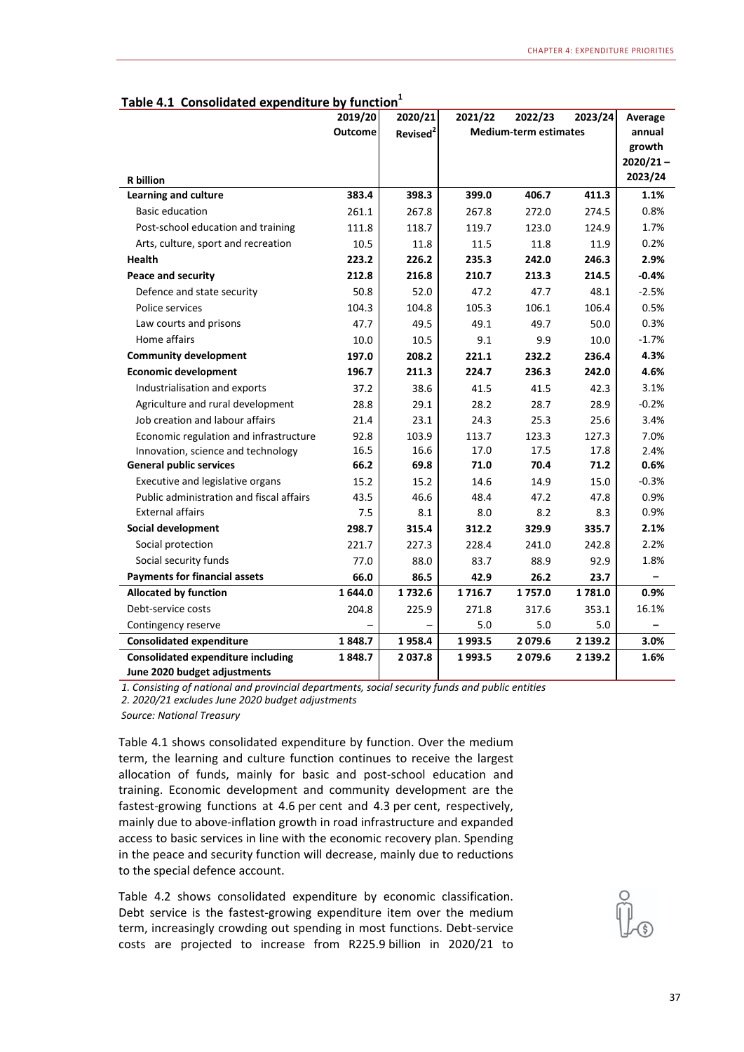| $I$ and $I$<br>consolidated experience by function | 2019/20        | 2020/21              | 2021/22                      | 2022/23 | 2023/24 | Average     |
|----------------------------------------------------|----------------|----------------------|------------------------------|---------|---------|-------------|
|                                                    | <b>Outcome</b> | Revised <sup>2</sup> | <b>Medium-term estimates</b> |         |         | annual      |
|                                                    |                |                      |                              |         |         | growth      |
|                                                    |                |                      |                              |         |         | $2020/21 -$ |
| <b>R</b> billion                                   |                |                      |                              |         |         | 2023/24     |
| Learning and culture                               | 383.4          | 398.3                | 399.0                        | 406.7   | 411.3   | 1.1%        |
| <b>Basic education</b>                             | 261.1          | 267.8                | 267.8                        | 272.0   | 274.5   | 0.8%        |
| Post-school education and training                 | 111.8          | 118.7                | 119.7                        | 123.0   | 124.9   | 1.7%        |
| Arts, culture, sport and recreation                | 10.5           | 11.8                 | 11.5                         | 11.8    | 11.9    | 0.2%        |
| <b>Health</b>                                      | 223.2          | 226.2                | 235.3                        | 242.0   | 246.3   | 2.9%        |
| <b>Peace and security</b>                          | 212.8          | 216.8                | 210.7                        | 213.3   | 214.5   | $-0.4%$     |
| Defence and state security                         | 50.8           | 52.0                 | 47.2                         | 47.7    | 48.1    | $-2.5%$     |
| Police services                                    | 104.3          | 104.8                | 105.3                        | 106.1   | 106.4   | 0.5%        |
| Law courts and prisons                             | 47.7           | 49.5                 | 49.1                         | 49.7    | 50.0    | 0.3%        |
| Home affairs                                       | 10.0           | 10.5                 | 9.1                          | 9.9     | 10.0    | $-1.7%$     |
| <b>Community development</b>                       | 197.0          | 208.2                | 221.1                        | 232.2   | 236.4   | 4.3%        |
| <b>Economic development</b>                        | 196.7          | 211.3                | 224.7                        | 236.3   | 242.0   | 4.6%        |
| Industrialisation and exports                      | 37.2           | 38.6                 | 41.5                         | 41.5    | 42.3    | 3.1%        |
| Agriculture and rural development                  | 28.8           | 29.1                 | 28.2                         | 28.7    | 28.9    | $-0.2%$     |
| Job creation and labour affairs                    | 21.4           | 23.1                 | 24.3                         | 25.3    | 25.6    | 3.4%        |
| Economic regulation and infrastructure             | 92.8           | 103.9                | 113.7                        | 123.3   | 127.3   | 7.0%        |
| Innovation, science and technology                 | 16.5           | 16.6                 | 17.0                         | 17.5    | 17.8    | 2.4%        |
| <b>General public services</b>                     | 66.2           | 69.8                 | 71.0                         | 70.4    | 71.2    | 0.6%        |
| Executive and legislative organs                   | 15.2           | 15.2                 | 14.6                         | 14.9    | 15.0    | $-0.3%$     |
| Public administration and fiscal affairs           | 43.5           | 46.6                 | 48.4                         | 47.2    | 47.8    | 0.9%        |
| <b>External affairs</b>                            | 7.5            | 8.1                  | 8.0                          | 8.2     | 8.3     | 0.9%        |
| Social development                                 | 298.7          | 315.4                | 312.2                        | 329.9   | 335.7   | 2.1%        |
| Social protection                                  | 221.7          | 227.3                | 228.4                        | 241.0   | 242.8   | 2.2%        |
| Social security funds                              | 77.0           | 88.0                 | 83.7                         | 88.9    | 92.9    | 1.8%        |
| <b>Payments for financial assets</b>               | 66.0           | 86.5                 | 42.9                         | 26.2    | 23.7    |             |
| <b>Allocated by function</b>                       | 1644.0         | 1732.6               | 1716.7                       | 1757.0  | 1781.0  | 0.9%        |
| Debt-service costs                                 | 204.8          | 225.9                | 271.8                        | 317.6   | 353.1   | 16.1%       |
| Contingency reserve                                |                |                      | 5.0                          | 5.0     | 5.0     |             |
| <b>Consolidated expenditure</b>                    | 1848.7         | 1958.4               | 1993.5                       | 2079.6  | 2 139.2 | 3.0%        |
| <b>Consolidated expenditure including</b>          | 1848.7         | 2 037.8              | 1993.5                       | 2079.6  | 2 139.2 | 1.6%        |
| June 2020 budget adjustments                       |                |                      |                              |         |         |             |

| Table 4.1 Consolidated expenditure by function <sup>1</sup> |  |  |
|-------------------------------------------------------------|--|--|
|                                                             |  |  |

*1. Consisting of national and provincial departments, social security funds and public entities*

*2. 2020/21 excludes June 2020 budget adjustments*

*Source: National Treasury*

Table 4.1 shows consolidated expenditure by function. Over the medium term, the learning and culture function continues to receive the largest allocation of funds, mainly for basic and post-school education and training. Economic development and community development are the fastest-growing functions at 4.6 per cent and 4.3 per cent, respectively, mainly due to above-inflation growth in road infrastructure and expanded access to basic services in line with the economic recovery plan. Spending in the peace and security function will decrease, mainly due to reductions to the special defence account.

Table 4.2 shows consolidated expenditure by economic classification. Debt service is the fastest-growing expenditure item over the medium term, increasingly crowding out spending in most functions. Debt-service costs are projected to increase from R225.9 billion in 2020/21 to

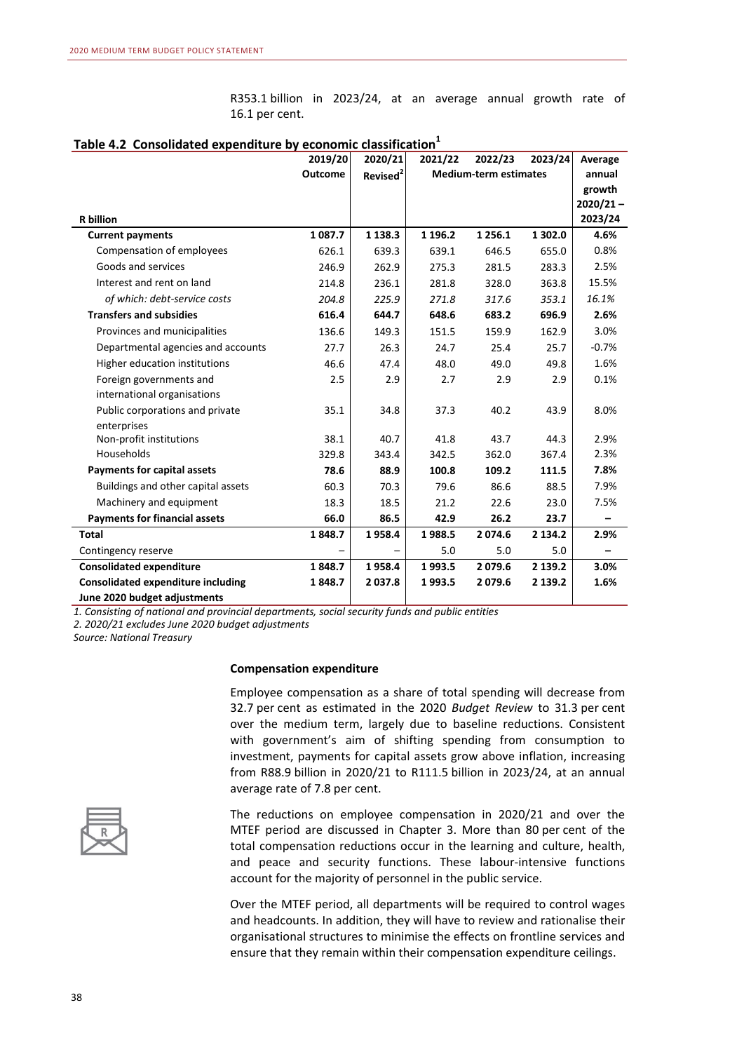R353.1 billion in 2023/24, at an average annual growth rate of 16.1 per cent.

|                                           | 2019/20        | 2020/21              | 2021/22    | 2022/23                      | 2023/24 | Average     |
|-------------------------------------------|----------------|----------------------|------------|------------------------------|---------|-------------|
|                                           | <b>Outcome</b> | Revised <sup>2</sup> |            | <b>Medium-term estimates</b> |         | annual      |
|                                           |                |                      |            |                              |         | growth      |
|                                           |                |                      |            |                              |         | $2020/21 -$ |
| <b>R</b> billion                          |                |                      |            |                              |         | 2023/24     |
| <b>Current payments</b>                   | 1087.7         | 1 1 3 8 . 3          | 1 1 9 6 .2 | 1 2 5 6 . 1                  | 1 302.0 | 4.6%        |
| Compensation of employees                 | 626.1          | 639.3                | 639.1      | 646.5                        | 655.0   | 0.8%        |
| Goods and services                        | 246.9          | 262.9                | 275.3      | 281.5                        | 283.3   | 2.5%        |
| Interest and rent on land                 | 214.8          | 236.1                | 281.8      | 328.0                        | 363.8   | 15.5%       |
| of which: debt-service costs              | 204.8          | 225.9                | 271.8      | 317.6                        | 353.1   | 16.1%       |
| <b>Transfers and subsidies</b>            | 616.4          | 644.7                | 648.6      | 683.2                        | 696.9   | 2.6%        |
| Provinces and municipalities              | 136.6          | 149.3                | 151.5      | 159.9                        | 162.9   | 3.0%        |
| Departmental agencies and accounts        | 27.7           | 26.3                 | 24.7       | 25.4                         | 25.7    | $-0.7%$     |
| Higher education institutions             | 46.6           | 47.4                 | 48.0       | 49.0                         | 49.8    | 1.6%        |
| Foreign governments and                   | 2.5            | 2.9                  | 2.7        | 2.9                          | 2.9     | 0.1%        |
| international organisations               |                |                      |            |                              |         |             |
| Public corporations and private           | 35.1           | 34.8                 | 37.3       | 40.2                         | 43.9    | 8.0%        |
| enterprises                               |                |                      |            |                              |         |             |
| Non-profit institutions                   | 38.1           | 40.7                 | 41.8       | 43.7                         | 44.3    | 2.9%        |
| Households                                | 329.8          | 343.4                | 342.5      | 362.0                        | 367.4   | 2.3%        |
| Payments for capital assets               | 78.6           | 88.9                 | 100.8      | 109.2                        | 111.5   | 7.8%        |
| Buildings and other capital assets        | 60.3           | 70.3                 | 79.6       | 86.6                         | 88.5    | 7.9%        |
| Machinery and equipment                   | 18.3           | 18.5                 | 21.2       | 22.6                         | 23.0    | 7.5%        |
| <b>Payments for financial assets</b>      | 66.0           | 86.5                 | 42.9       | 26.2                         | 23.7    |             |
| <b>Total</b>                              | 1848.7         | 1958.4               | 1988.5     | 2074.6                       | 2 134.2 | 2.9%        |
| Contingency reserve                       |                |                      | 5.0        | 5.0                          | 5.0     |             |
| <b>Consolidated expenditure</b>           | 1848.7         | 1958.4               | 1993.5     | 2079.6                       | 2 139.2 | 3.0%        |
| <b>Consolidated expenditure including</b> | 1848.7         | 2037.8               | 1993.5     | 2079.6                       | 2 139.2 | 1.6%        |
| June 2020 budget adjustments              |                |                      |            |                              |         |             |

#### Table 4.2 Consolidated expenditure by economic classification<sup>1</sup>

*1. Consisting of national and provincial departments, social security funds and public entities*

*2. 2020/21 excludes June 2020 budget adjustments*

*Source: National Treasury*

#### **Compensation expenditure**

Employee compensation as a share of total spending will decrease from 32.7 per cent as estimated in the 2020 *Budget Review* to 31.3 per cent over the medium term, largely due to baseline reductions. Consistent with government's aim of shifting spending from consumption to investment, payments for capital assets grow above inflation, increasing from R88.9 billion in 2020/21 to R111.5 billion in 2023/24, at an annual average rate of 7.8 per cent.



The reductions on employee compensation in 2020/21 and over the MTEF period are discussed in Chapter 3. More than 80 per cent of the total compensation reductions occur in the learning and culture, health, and peace and security functions. These labour-intensive functions account for the majority of personnel in the public service.

Over the MTEF period, all departments will be required to control wages and headcounts. In addition, they will have to review and rationalise their organisational structures to minimise the effects on frontline services and ensure that they remain within their compensation expenditure ceilings.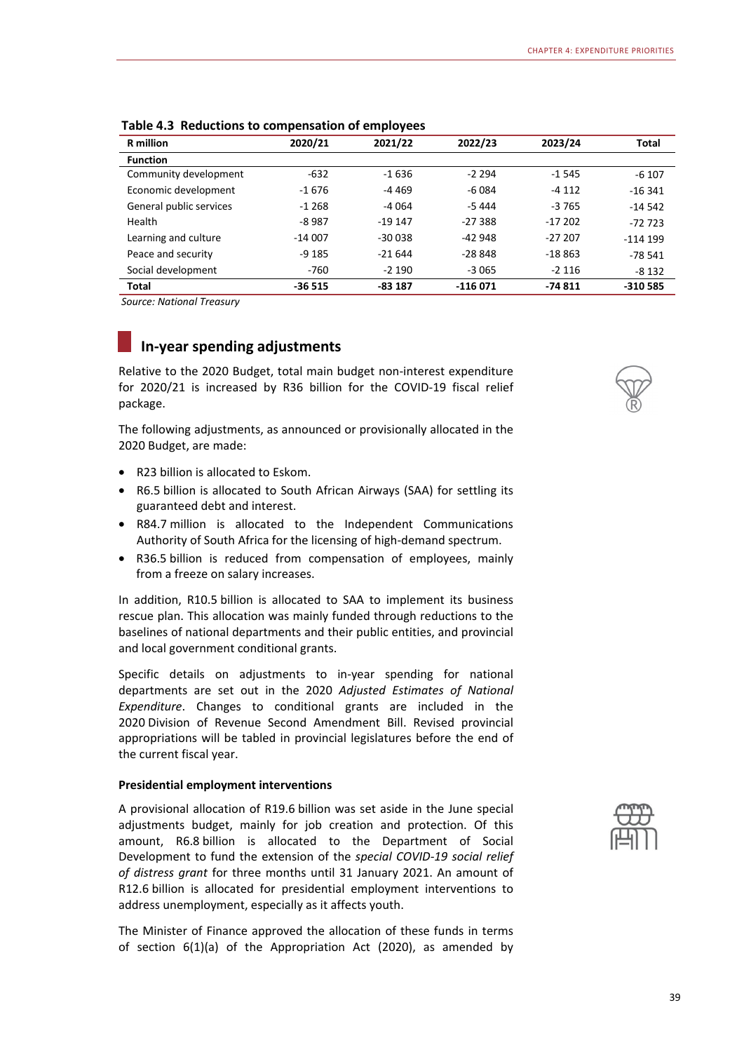| <b>R</b> million        | 2020/21  | 2021/22  | 2022/23   | 2023/24  | <b>Total</b> |
|-------------------------|----------|----------|-----------|----------|--------------|
| <b>Function</b>         |          |          |           |          |              |
| Community development   | $-632$   | $-1636$  | $-2294$   | $-1545$  | $-6107$      |
| Economic development    | $-1676$  | -4 469   | $-6084$   | $-4112$  | $-16341$     |
| General public services | $-1268$  | -4 064   | $-5444$   | $-3765$  | $-14542$     |
| Health                  | $-8987$  | $-19147$ | $-27388$  | $-17202$ | $-72723$     |
| Learning and culture    | $-14007$ | $-30038$ | $-42948$  | $-27207$ | $-114199$    |
| Peace and security      | $-9185$  | $-21644$ | $-28848$  | $-18863$ | $-78541$     |
| Social development      | $-760$   | $-2190$  | $-3065$   | $-2116$  | $-8132$      |
| <b>Total</b>            | $-36515$ | $-83187$ | $-116071$ | $-74811$ | -310 585     |

**Table 4.3 Reductions to compensation of employees**

*Source: National Treasury* 

# **In-year spending adjustments**

Relative to the 2020 Budget, total main budget non-interest expenditure for 2020/21 is increased by R36 billion for the COVID-19 fiscal relief package.

The following adjustments, as announced or provisionally allocated in the 2020 Budget, are made:

- R23 billion is allocated to Eskom.
- R6.5 billion is allocated to South African Airways (SAA) for settling its guaranteed debt and interest.
- R84.7 million is allocated to the Independent Communications Authority of South Africa for the licensing of high-demand spectrum.
- R36.5 billion is reduced from compensation of employees, mainly from a freeze on salary increases.

In addition, R10.5 billion is allocated to SAA to implement its business rescue plan. This allocation was mainly funded through reductions to the baselines of national departments and their public entities, and provincial and local government conditional grants.

Specific details on adjustments to in-year spending for national departments are set out in the 2020 *Adjusted Estimates of National Expenditure*. Changes to conditional grants are included in the 2020 Division of Revenue Second Amendment Bill. Revised provincial appropriations will be tabled in provincial legislatures before the end of the current fiscal year.

#### **Presidential employment interventions**

A provisional allocation of R19.6 billion was set aside in the June special adjustments budget, mainly for job creation and protection. Of this amount, R6.8 billion is allocated to the Department of Social Development to fund the extension of the *special COVID-19 social relief of distress grant* for three months until 31 January 2021. An amount of R12.6 billion is allocated for presidential employment interventions to address unemployment, especially as it affects youth.

The Minister of Finance approved the allocation of these funds in terms of section 6(1)(a) of the Appropriation Act (2020), as amended by



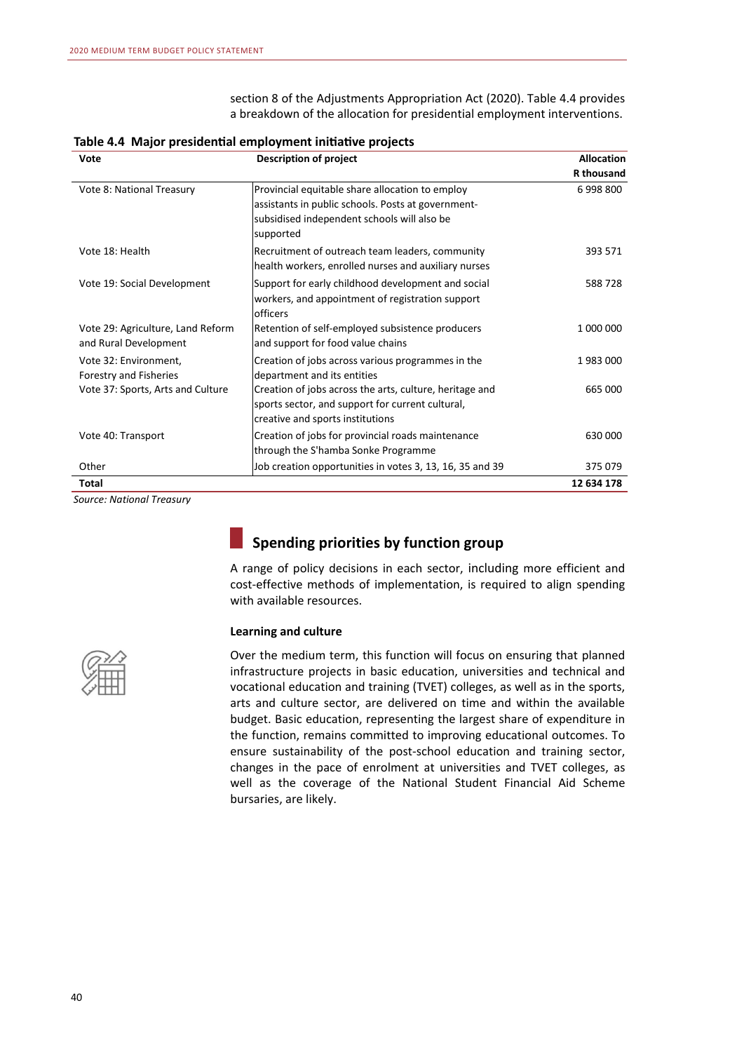section 8 of the Adjustments Appropriation Act (2020). Table 4.4 provides a breakdown of the allocation for presidential employment interventions.

| Vote                                                       | <b>Description of project</b>                                                                                                                                     | <b>Allocation</b> |
|------------------------------------------------------------|-------------------------------------------------------------------------------------------------------------------------------------------------------------------|-------------------|
|                                                            |                                                                                                                                                                   | <b>R</b> thousand |
| Vote 8: National Treasury                                  | Provincial equitable share allocation to employ<br>assistants in public schools. Posts at government-<br>subsidised independent schools will also be<br>supported | 6998800           |
| Vote 18: Health                                            | Recruitment of outreach team leaders, community<br>health workers, enrolled nurses and auxiliary nurses                                                           | 393 571           |
| Vote 19: Social Development                                | Support for early childhood development and social<br>workers, and appointment of registration support<br>officers                                                | 588728            |
| Vote 29: Agriculture, Land Reform<br>and Rural Development | Retention of self-employed subsistence producers<br>and support for food value chains                                                                             | 1 000 000         |
| Vote 32: Environment,<br>Forestry and Fisheries            | Creation of jobs across various programmes in the<br>department and its entities                                                                                  | 1983000           |
| Vote 37: Sports, Arts and Culture                          | Creation of jobs across the arts, culture, heritage and<br>sports sector, and support for current cultural,<br>creative and sports institutions                   | 665 000           |
| Vote 40: Transport                                         | Creation of jobs for provincial roads maintenance<br>through the S'hamba Sonke Programme                                                                          | 630 000           |
| Other                                                      | Job creation opportunities in votes 3, 13, 16, 35 and 39                                                                                                          | 375079            |
| Total                                                      |                                                                                                                                                                   | 12 634 178        |

Table 4.4 Major presidential employment initiative projects

*Source: National Treasury*

# **Spending priorities by function group**

A range of policy decisions in each sector, including more efficient and cost-effective methods of implementation, is required to align spending with available resources.

#### **Learning and culture**



Over the medium term, this function will focus on ensuring that planned infrastructure projects in basic education, universities and technical and vocational education and training (TVET) colleges, as well as in the sports, arts and culture sector, are delivered on time and within the available budget. Basic education, representing the largest share of expenditure in the function, remains committed to improving educational outcomes. To ensure sustainability of the post-school education and training sector, changes in the pace of enrolment at universities and TVET colleges, as well as the coverage of the National Student Financial Aid Scheme bursaries, are likely.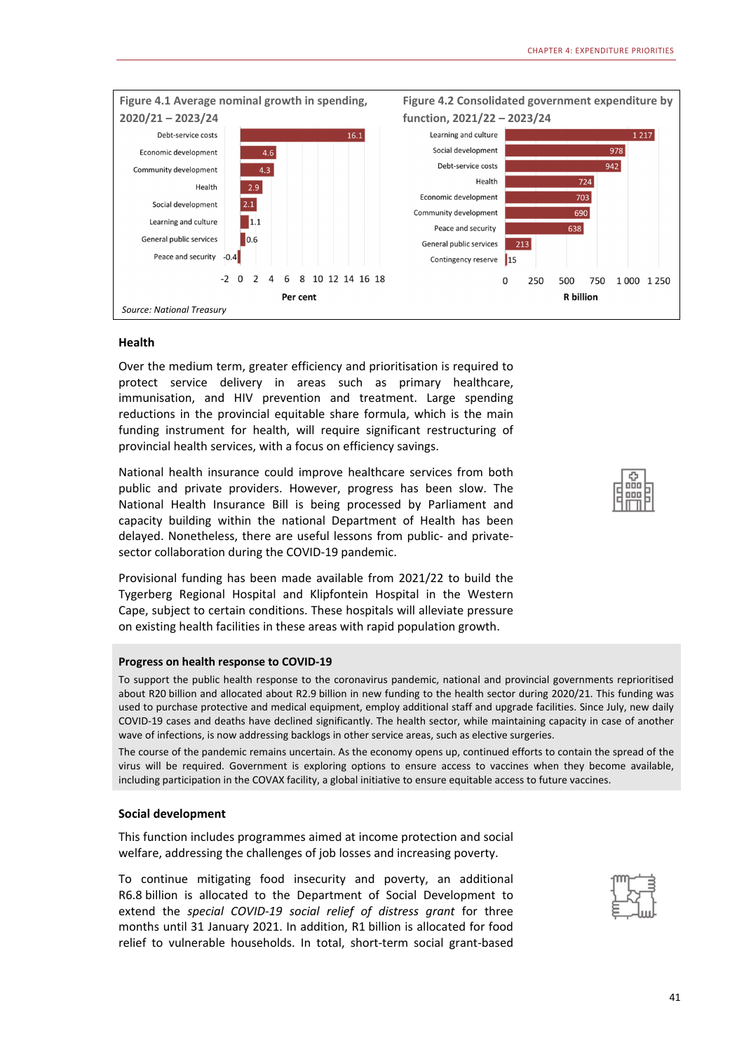

#### **Health**

Over the medium term, greater efficiency and prioritisation is required to protect service delivery in areas such as primary healthcare, immunisation, and HIV prevention and treatment. Large spending reductions in the provincial equitable share formula, which is the main funding instrument for health, will require significant restructuring of provincial health services, with a focus on efficiency savings.

National health insurance could improve healthcare services from both public and private providers. However, progress has been slow. The National Health Insurance Bill is being processed by Parliament and capacity building within the national Department of Health has been delayed. Nonetheless, there are useful lessons from public- and privatesector collaboration during the COVID-19 pandemic.

Provisional funding has been made available from 2021/22 to build the Tygerberg Regional Hospital and Klipfontein Hospital in the Western Cape, subject to certain conditions. These hospitals will alleviate pressure on existing health facilities in these areas with rapid population growth.

#### **Progress on health response to COVID-19**

To support the public health response to the coronavirus pandemic, national and provincial governments reprioritised about R20 billion and allocated about R2.9 billion in new funding to the health sector during 2020/21. This funding was used to purchase protective and medical equipment, employ additional staff and upgrade facilities. Since July, new daily COVID-19 cases and deaths have declined significantly. The health sector, while maintaining capacity in case of another wave of infections, is now addressing backlogs in other service areas, such as elective surgeries.

The course of the pandemic remains uncertain. As the economy opens up, continued efforts to contain the spread of the virus will be required. Government is exploring options to ensure access to vaccines when they become available, including participation in the COVAX facility, a global initiative to ensure equitable access to future vaccines.

#### **Social development**

This function includes programmes aimed at income protection and social welfare, addressing the challenges of job losses and increasing poverty.

To continue mitigating food insecurity and poverty, an additional R6.8 billion is allocated to the Department of Social Development to extend the *special COVID-19 social relief of distress grant* for three months until 31 January 2021. In addition, R1 billion is allocated for food relief to vulnerable households. In total, short-term social grant-based



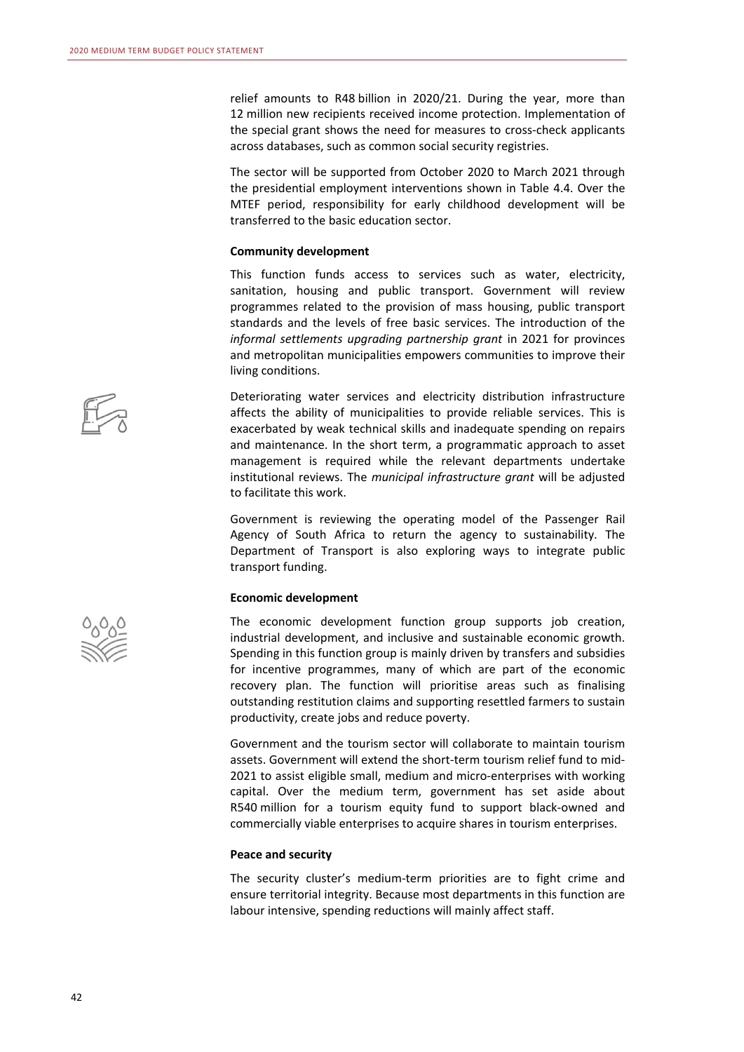relief amounts to R48 billion in 2020/21. During the year, more than 12 million new recipients received income protection. Implementation of the special grant shows the need for measures to cross-check applicants across databases, such as common social security registries.

The sector will be supported from October 2020 to March 2021 through the presidential employment interventions shown in Table 4.4. Over the MTEF period, responsibility for early childhood development will be transferred to the basic education sector.

#### **Community development**

This function funds access to services such as water, electricity, sanitation, housing and public transport. Government will review programmes related to the provision of mass housing, public transport standards and the levels of free basic services. The introduction of the *informal settlements upgrading partnership grant* in 2021 for provinces and metropolitan municipalities empowers communities to improve their living conditions.

Deteriorating water services and electricity distribution infrastructure affects the ability of municipalities to provide reliable services. This is exacerbated by weak technical skills and inadequate spending on repairs and maintenance. In the short term, a programmatic approach to asset management is required while the relevant departments undertake institutional reviews. The *municipal infrastructure grant* will be adjusted to facilitate this work.

Government is reviewing the operating model of the Passenger Rail Agency of South Africa to return the agency to sustainability. The Department of Transport is also exploring ways to integrate public transport funding.

#### **Economic development**

The economic development function group supports job creation, industrial development, and inclusive and sustainable economic growth. Spending in this function group is mainly driven by transfers and subsidies for incentive programmes, many of which are part of the economic recovery plan. The function will prioritise areas such as finalising outstanding restitution claims and supporting resettled farmers to sustain productivity, create jobs and reduce poverty.

Government and the tourism sector will collaborate to maintain tourism assets. Government will extend the short-term tourism relief fund to mid-2021 to assist eligible small, medium and micro-enterprises with working capital. Over the medium term, government has set aside about R540 million for a tourism equity fund to support black-owned and commercially viable enterprises to acquire shares in tourism enterprises.

#### **Peace and security**

The security cluster's medium-term priorities are to fight crime and ensure territorial integrity. Because most departments in this function are labour intensive, spending reductions will mainly affect staff.



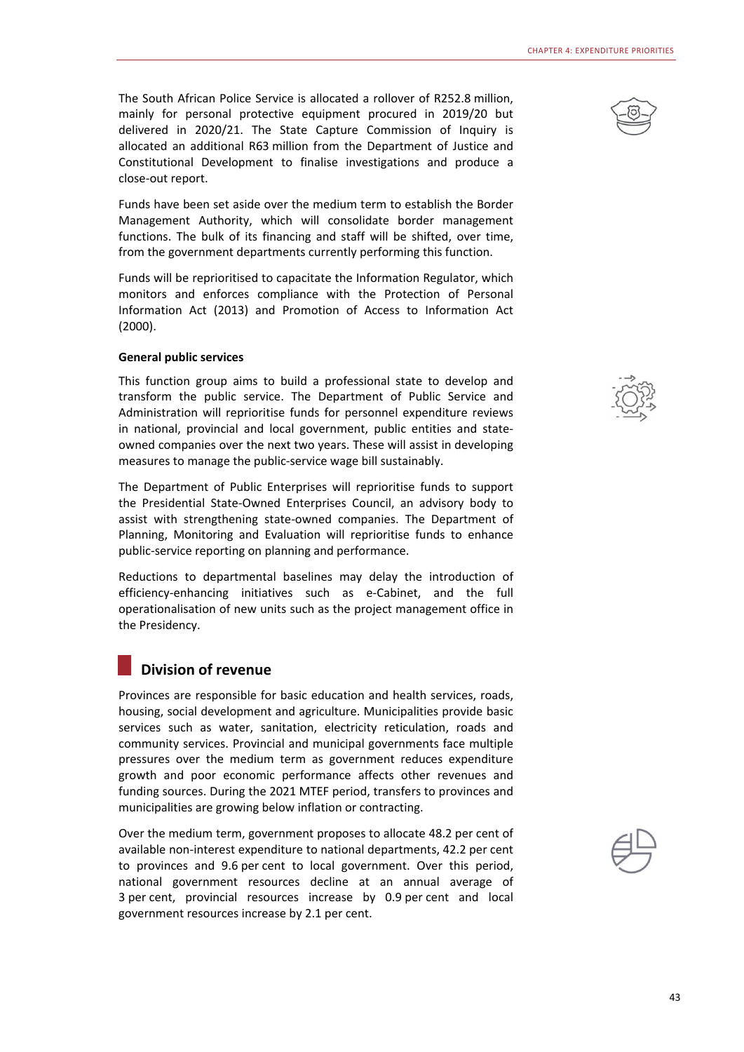The South African Police Service is allocated a rollover of R252.8 million, mainly for personal protective equipment procured in 2019/20 but delivered in 2020/21. The State Capture Commission of Inquiry is allocated an additional R63 million from the Department of Justice and Constitutional Development to finalise investigations and produce a close-out report.

Funds have been set aside over the medium term to establish the Border Management Authority, which will consolidate border management functions. The bulk of its financing and staff will be shifted, over time, from the government departments currently performing this function.

Funds will be reprioritised to capacitate the Information Regulator, which monitors and enforces compliance with the Protection of Personal Information Act (2013) and Promotion of Access to Information Act (2000).

#### **General public services**

This function group aims to build a professional state to develop and transform the public service. The Department of Public Service and Administration will reprioritise funds for personnel expenditure reviews in national, provincial and local government, public entities and stateowned companies over the next two years. These will assist in developing measures to manage the public-service wage bill sustainably.

The Department of Public Enterprises will reprioritise funds to support the Presidential State-Owned Enterprises Council, an advisory body to assist with strengthening state-owned companies. The Department of Planning, Monitoring and Evaluation will reprioritise funds to enhance public-service reporting on planning and performance.

Reductions to departmental baselines may delay the introduction of efficiency-enhancing initiatives such as e-Cabinet, and the full operationalisation of new units such as the project management office in the Presidency.

### **Division of revenue**

Provinces are responsible for basic education and health services, roads, housing, social development and agriculture. Municipalities provide basic services such as water, sanitation, electricity reticulation, roads and community services. Provincial and municipal governments face multiple pressures over the medium term as government reduces expenditure growth and poor economic performance affects other revenues and funding sources. During the 2021 MTEF period, transfers to provinces and municipalities are growing below inflation or contracting.

Over the medium term, government proposes to allocate 48.2 per cent of available non-interest expenditure to national departments, 42.2 per cent to provinces and 9.6 per cent to local government. Over this period, national government resources decline at an annual average of 3 per cent, provincial resources increase by 0.9 per cent and local government resources increase by 2.1 per cent.





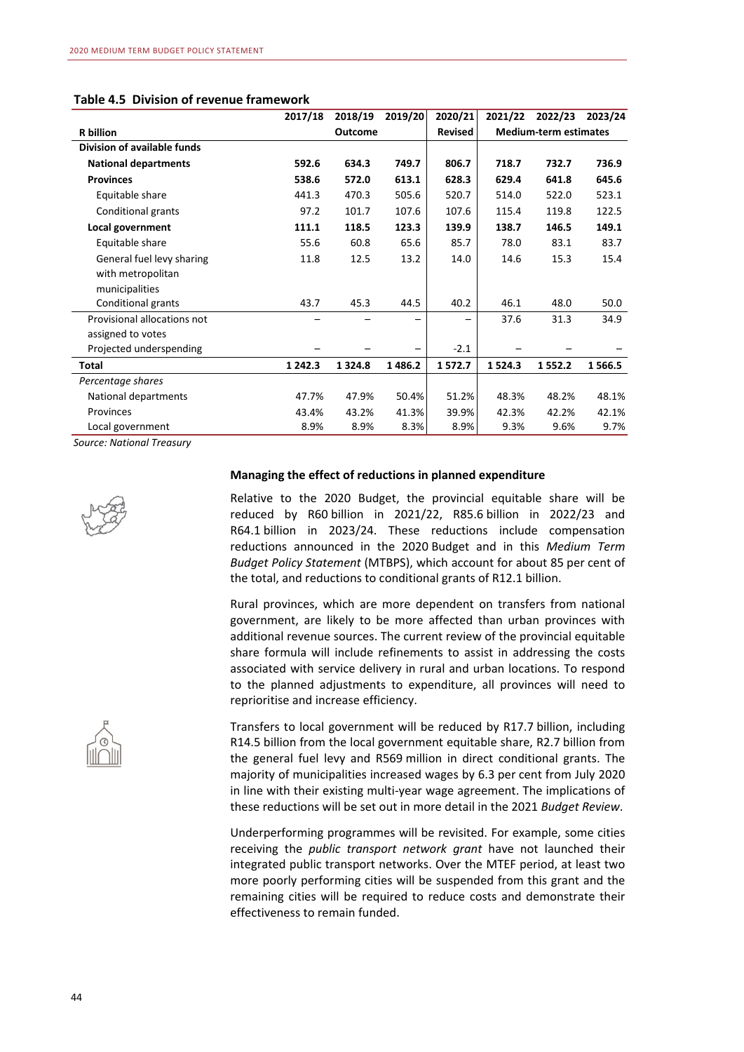| Table 4.5 Division of revenue framework |  |  |  |
|-----------------------------------------|--|--|--|
|-----------------------------------------|--|--|--|

|                             | 2017/18     | 2018/19        | 2019/20 | 2020/21        | 2021/22 | 2022/23                      | 2023/24 |
|-----------------------------|-------------|----------------|---------|----------------|---------|------------------------------|---------|
| R billion                   |             | <b>Outcome</b> |         | <b>Revised</b> |         | <b>Medium-term estimates</b> |         |
| Division of available funds |             |                |         |                |         |                              |         |
| <b>National departments</b> | 592.6       | 634.3          | 749.7   | 806.7          | 718.7   | 732.7                        | 736.9   |
| <b>Provinces</b>            | 538.6       | 572.0          | 613.1   | 628.3          | 629.4   | 641.8                        | 645.6   |
| Equitable share             | 441.3       | 470.3          | 505.6   | 520.7          | 514.0   | 522.0                        | 523.1   |
| Conditional grants          | 97.2        | 101.7          | 107.6   | 107.6          | 115.4   | 119.8                        | 122.5   |
| Local government            | 111.1       | 118.5          | 123.3   | 139.9          | 138.7   | 146.5                        | 149.1   |
| Equitable share             | 55.6        | 60.8           | 65.6    | 85.7           | 78.0    | 83.1                         | 83.7    |
| General fuel levy sharing   | 11.8        | 12.5           | 13.2    | 14.0           | 14.6    | 15.3                         | 15.4    |
| with metropolitan           |             |                |         |                |         |                              |         |
| municipalities              |             |                |         |                |         |                              |         |
| Conditional grants          | 43.7        | 45.3           | 44.5    | 40.2           | 46.1    | 48.0                         | 50.0    |
| Provisional allocations not |             |                |         |                | 37.6    | 31.3                         | 34.9    |
| assigned to votes           |             |                |         |                |         |                              |         |
| Projected underspending     |             |                |         | $-2.1$         |         |                              |         |
| Total                       | 1 2 4 2 . 3 | 1 3 2 4 . 8    | 1486.2  | 1572.7         | 1524.3  | 1552.2                       | 1 566.5 |
| Percentage shares           |             |                |         |                |         |                              |         |
| National departments        | 47.7%       | 47.9%          | 50.4%   | 51.2%          | 48.3%   | 48.2%                        | 48.1%   |
| Provinces                   | 43.4%       | 43.2%          | 41.3%   | 39.9%          | 42.3%   | 42.2%                        | 42.1%   |
| Local government            | 8.9%        | 8.9%           | 8.3%    | 8.9%           | 9.3%    | 9.6%                         | 9.7%    |

*Source: National Treasury* 



#### **Managing the effect of reductions in planned expenditure**

Relative to the 2020 Budget, the provincial equitable share will be reduced by R60 billion in 2021/22, R85.6 billion in 2022/23 and R64.1 billion in 2023/24. These reductions include compensation reductions announced in the 2020 Budget and in this *Medium Term Budget Policy Statement* (MTBPS), which account for about 85 per cent of the total, and reductions to conditional grants of R12.1 billion.

Rural provinces, which are more dependent on transfers from national government, are likely to be more affected than urban provinces with additional revenue sources. The current review of the provincial equitable share formula will include refinements to assist in addressing the costs associated with service delivery in rural and urban locations. To respond to the planned adjustments to expenditure, all provinces will need to reprioritise and increase efficiency.

Transfers to local government will be reduced by R17.7 billion, including R14.5 billion from the local government equitable share, R2.7 billion from the general fuel levy and R569 million in direct conditional grants. The majority of municipalities increased wages by 6.3 per cent from July 2020 in line with their existing multi-year wage agreement. The implications of these reductions will be set out in more detail in the 2021 *Budget Review*.

Underperforming programmes will be revisited. For example, some cities receiving the *public transport network grant* have not launched their integrated public transport networks. Over the MTEF period, at least two more poorly performing cities will be suspended from this grant and the remaining cities will be required to reduce costs and demonstrate their effectiveness to remain funded.

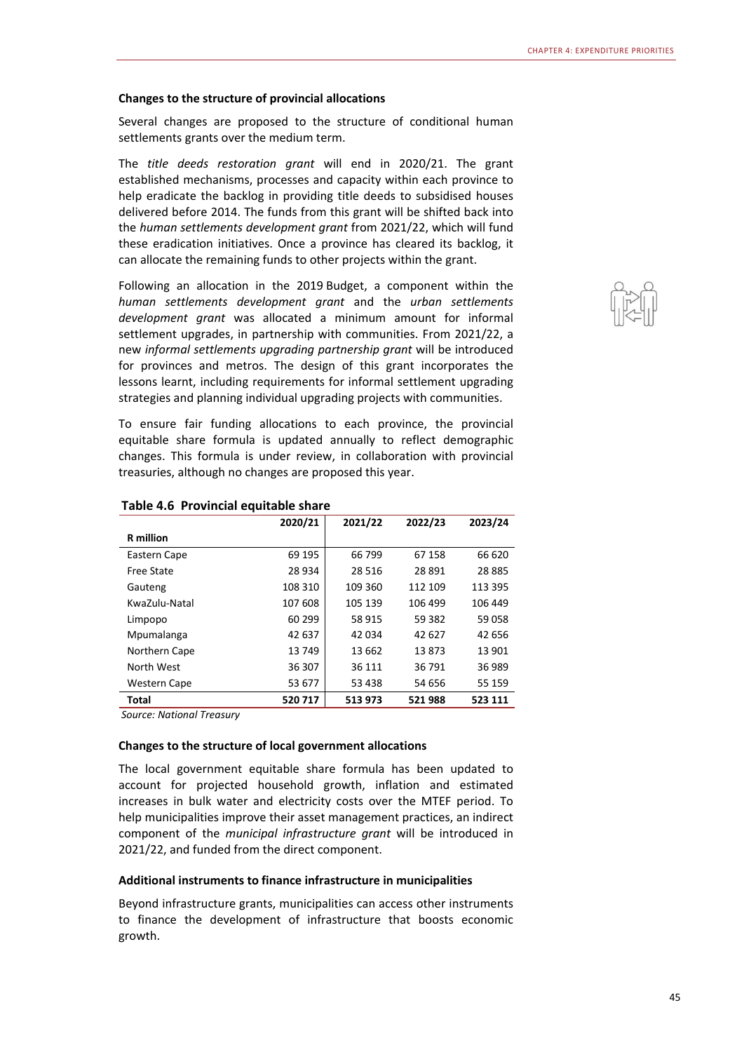#### **Changes to the structure of provincial allocations**

Several changes are proposed to the structure of conditional human settlements grants over the medium term.

The *title deeds restoration grant* will end in 2020/21. The grant established mechanisms, processes and capacity within each province to help eradicate the backlog in providing title deeds to subsidised houses delivered before 2014. The funds from this grant will be shifted back into the *human settlements development grant* from 2021/22, which will fund these eradication initiatives. Once a province has cleared its backlog, it can allocate the remaining funds to other projects within the grant.

Following an allocation in the 2019 Budget, a component within the *human settlements development grant* and the *urban settlements development grant* was allocated a minimum amount for informal settlement upgrades, in partnership with communities. From 2021/22, a new *informal settlements upgrading partnership grant* will be introduced for provinces and metros. The design of this grant incorporates the lessons learnt, including requirements for informal settlement upgrading strategies and planning individual upgrading projects with communities.

To ensure fair funding allocations to each province, the provincial equitable share formula is updated annually to reflect demographic changes. This formula is under review, in collaboration with provincial treasuries, although no changes are proposed this year.

|                     | 2020/21 | 2021/22 | 2022/23 | 2023/24  |
|---------------------|---------|---------|---------|----------|
| <b>R</b> million    |         |         |         |          |
| Eastern Cape        | 69 195  | 66 799  | 67 158  | 66 620   |
| <b>Free State</b>   | 28 934  | 28 5 16 | 28891   | 28 8 8 5 |
| Gauteng             | 108 310 | 109 360 | 112 109 | 113 395  |
| KwaZulu-Natal       | 107 608 | 105 139 | 106 499 | 106 449  |
| Limpopo             | 60 299  | 58 915  | 59 382  | 59 058   |
| Mpumalanga          | 42 637  | 42 034  | 42 627  | 42 656   |
| Northern Cape       | 13749   | 13 662  | 13873   | 13 901   |
| North West          | 36 307  | 36 111  | 36 791  | 36 989   |
| <b>Western Cape</b> | 53 677  | 53 438  | 54 656  | 55 159   |
| <b>Total</b>        | 520 717 | 513 973 | 521988  | 523 111  |

#### **Table 4.6 Provincial equitable share**

*Source: National Treasury* 

#### **Changes to the structure of local government allocations**

The local government equitable share formula has been updated to account for projected household growth, inflation and estimated increases in bulk water and electricity costs over the MTEF period. To help municipalities improve their asset management practices, an indirect component of the *municipal infrastructure grant* will be introduced in 2021/22, and funded from the direct component.

#### **Additional instruments to finance infrastructure in municipalities**

Beyond infrastructure grants, municipalities can access other instruments to finance the development of infrastructure that boosts economic growth.